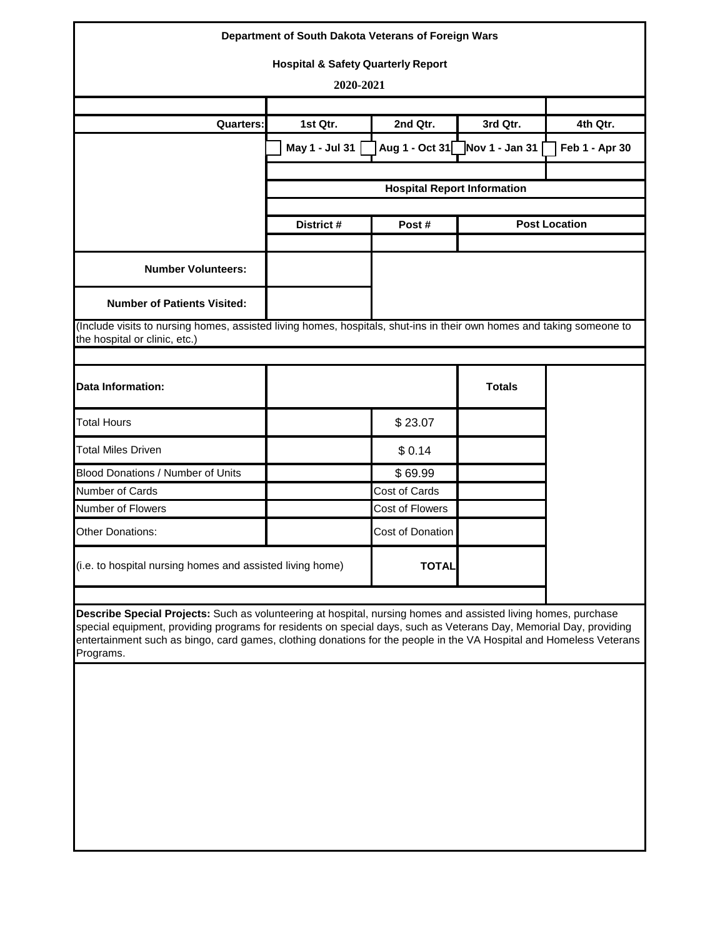|                                                                                                                                                                                                                                                                                                                                                                          | Department of South Dakota Veterans of Foreign Wars |                                    |                |                      |
|--------------------------------------------------------------------------------------------------------------------------------------------------------------------------------------------------------------------------------------------------------------------------------------------------------------------------------------------------------------------------|-----------------------------------------------------|------------------------------------|----------------|----------------------|
|                                                                                                                                                                                                                                                                                                                                                                          | <b>Hospital &amp; Safety Quarterly Report</b>       |                                    |                |                      |
|                                                                                                                                                                                                                                                                                                                                                                          | 2020-2021                                           |                                    |                |                      |
|                                                                                                                                                                                                                                                                                                                                                                          |                                                     |                                    |                |                      |
| <b>Quarters:</b>                                                                                                                                                                                                                                                                                                                                                         | 1st Qtr.                                            | 2nd Qtr.                           | 3rd Qtr.       | 4th Qtr.             |
|                                                                                                                                                                                                                                                                                                                                                                          | May 1 - Jul 31                                      | Aug 1 - Oct 31                     | Nov 1 - Jan 31 | Feb 1 - Apr 30       |
|                                                                                                                                                                                                                                                                                                                                                                          |                                                     |                                    |                |                      |
|                                                                                                                                                                                                                                                                                                                                                                          |                                                     | <b>Hospital Report Information</b> |                |                      |
|                                                                                                                                                                                                                                                                                                                                                                          | District #                                          | Post#                              |                | <b>Post Location</b> |
| <b>Number Volunteers:</b>                                                                                                                                                                                                                                                                                                                                                |                                                     |                                    |                |                      |
| <b>Number of Patients Visited:</b>                                                                                                                                                                                                                                                                                                                                       |                                                     |                                    |                |                      |
| (Include visits to nursing homes, assisted living homes, hospitals, shut-ins in their own homes and taking someone to<br>the hospital or clinic, etc.)                                                                                                                                                                                                                   |                                                     |                                    |                |                      |
| <b>Data Information:</b>                                                                                                                                                                                                                                                                                                                                                 |                                                     |                                    | <b>Totals</b>  |                      |
| <b>Total Hours</b>                                                                                                                                                                                                                                                                                                                                                       |                                                     | \$23.07                            |                |                      |
| <b>Total Miles Driven</b>                                                                                                                                                                                                                                                                                                                                                |                                                     | \$0.14                             |                |                      |
| Blood Donations / Number of Units                                                                                                                                                                                                                                                                                                                                        |                                                     | \$69.99                            |                |                      |
| Number of Cards                                                                                                                                                                                                                                                                                                                                                          |                                                     | Cost of Cards                      |                |                      |
| Number of Flowers                                                                                                                                                                                                                                                                                                                                                        |                                                     | Cost of Flowers                    |                |                      |
| <b>Other Donations:</b>                                                                                                                                                                                                                                                                                                                                                  |                                                     | Cost of Donation                   |                |                      |
| (i.e. to hospital nursing homes and assisted living home)                                                                                                                                                                                                                                                                                                                |                                                     | <b>TOTAL</b>                       |                |                      |
| Describe Special Projects: Such as volunteering at hospital, nursing homes and assisted living homes, purchase<br>special equipment, providing programs for residents on special days, such as Veterans Day, Memorial Day, providing<br>entertainment such as bingo, card games, clothing donations for the people in the VA Hospital and Homeless Veterans<br>Programs. |                                                     |                                    |                |                      |